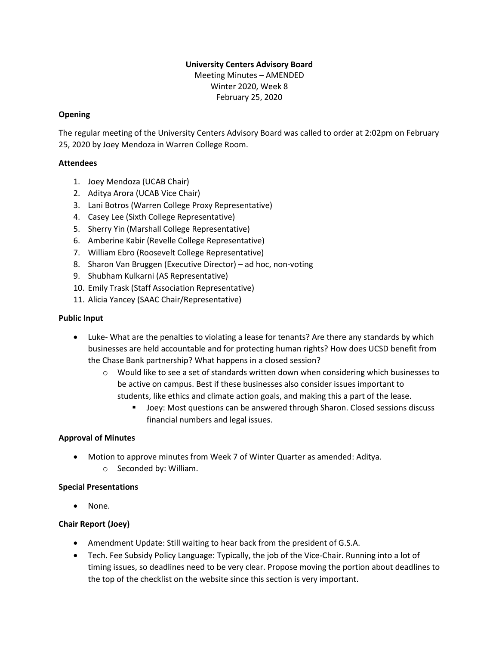# **University Centers Advisory Board**

Meeting Minutes – AMENDED Winter 2020, Week 8 February 25, 2020

### **Opening**

The regular meeting of the University Centers Advisory Board was called to order at 2:02pm on February 25, 2020 by Joey Mendoza in Warren College Room.

### **Attendees**

- 1. Joey Mendoza (UCAB Chair)
- 2. Aditya Arora (UCAB Vice Chair)
- 3. Lani Botros (Warren College Proxy Representative)
- 4. Casey Lee (Sixth College Representative)
- 5. Sherry Yin (Marshall College Representative)
- 6. Amberine Kabir (Revelle College Representative)
- 7. William Ebro (Roosevelt College Representative)
- 8. Sharon Van Bruggen (Executive Director) ad hoc, non-voting
- 9. Shubham Kulkarni (AS Representative)
- 10. Emily Trask (Staff Association Representative)
- 11. Alicia Yancey (SAAC Chair/Representative)

#### **Public Input**

- Luke- What are the penalties to violating a lease for tenants? Are there any standards by which businesses are held accountable and for protecting human rights? How does UCSD benefit from the Chase Bank partnership? What happens in a closed session?
	- $\circ$  Would like to see a set of standards written down when considering which businesses to be active on campus. Best if these businesses also consider issues important to students, like ethics and climate action goals, and making this a part of the lease.
		- Joey: Most questions can be answered through Sharon. Closed sessions discuss financial numbers and legal issues.

## **Approval of Minutes**

• Motion to approve minutes from Week 7 of Winter Quarter as amended: Aditya. o Seconded by: William.

## **Special Presentations**

• None.

## **Chair Report (Joey)**

- Amendment Update: Still waiting to hear back from the president of G.S.A.
- Tech. Fee Subsidy Policy Language: Typically, the job of the Vice-Chair. Running into a lot of timing issues, so deadlines need to be very clear. Propose moving the portion about deadlines to the top of the checklist on the website since this section is very important.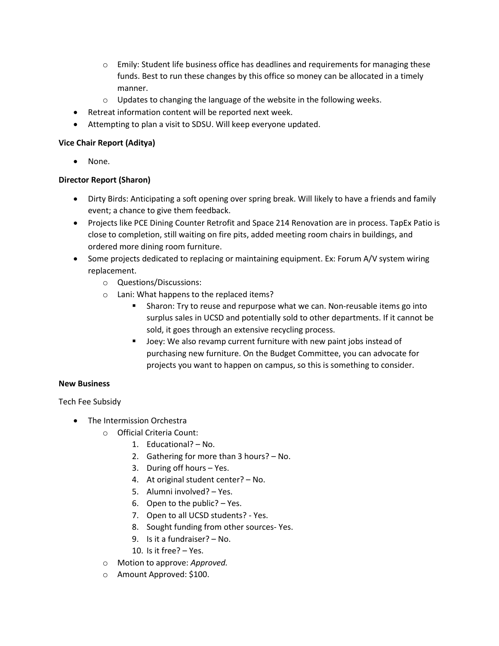- $\circ$  Emily: Student life business office has deadlines and requirements for managing these funds. Best to run these changes by this office so money can be allocated in a timely manner.
- o Updates to changing the language of the website in the following weeks.
- Retreat information content will be reported next week.
- Attempting to plan a visit to SDSU. Will keep everyone updated.

### **Vice Chair Report (Aditya)**

None.

## **Director Report (Sharon)**

- Dirty Birds: Anticipating a soft opening over spring break. Will likely to have a friends and family event; a chance to give them feedback.
- Projects like PCE Dining Counter Retrofit and Space 214 Renovation are in process. TapEx Patio is close to completion, still waiting on fire pits, added meeting room chairs in buildings, and ordered more dining room furniture.
- Some projects dedicated to replacing or maintaining equipment. Ex: Forum A/V system wiring replacement.
	- o Questions/Discussions:
	- o Lani: What happens to the replaced items?
		- Sharon: Try to reuse and repurpose what we can. Non-reusable items go into surplus sales in UCSD and potentially sold to other departments. If it cannot be sold, it goes through an extensive recycling process.
		- Joey: We also revamp current furniture with new paint jobs instead of purchasing new furniture. On the Budget Committee, you can advocate for projects you want to happen on campus, so this is something to consider.

## **New Business**

Tech Fee Subsidy

- The Intermission Orchestra
	- o Official Criteria Count:
		- 1. Educational? No.
		- 2. Gathering for more than 3 hours? No.
		- 3. During off hours Yes.
		- 4. At original student center? No.
		- 5. Alumni involved? Yes.
		- 6. Open to the public? Yes.
		- 7. Open to all UCSD students? Yes.
		- 8. Sought funding from other sources- Yes.
		- 9. Is it a fundraiser? No.
		- 10. Is it free? Yes.
	- o Motion to approve: *Approved.*
	- o Amount Approved: \$100.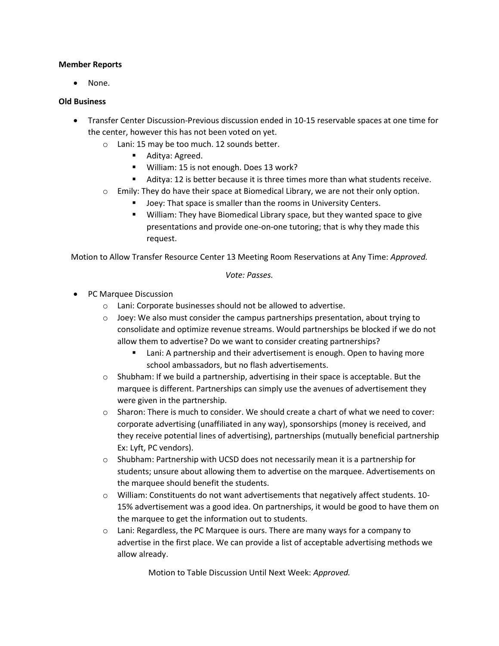#### **Member Reports**

• None.

#### **Old Business**

- Transfer Center Discussion-Previous discussion ended in 10-15 reservable spaces at one time for the center, however this has not been voted on yet.
	- o Lani: 15 may be too much. 12 sounds better.
		- Aditya: Agreed.
		- William: 15 is not enough. Does 13 work?
		- Aditya: 12 is better because it is three times more than what students receive.
		- $\circ$  Emily: They do have their space at Biomedical Library, we are not their only option.
			- Joey: That space is smaller than the rooms in University Centers.
			- William: They have Biomedical Library space, but they wanted space to give presentations and provide one-on-one tutoring; that is why they made this request.

Motion to Allow Transfer Resource Center 13 Meeting Room Reservations at Any Time: *Approved.* 

*Vote: Passes.* 

- PC Marquee Discussion
	- o Lani: Corporate businesses should not be allowed to advertise.
	- $\circ$  Joey: We also must consider the campus partnerships presentation, about trying to consolidate and optimize revenue streams. Would partnerships be blocked if we do not allow them to advertise? Do we want to consider creating partnerships?
		- Lani: A partnership and their advertisement is enough. Open to having more school ambassadors, but no flash advertisements.
	- $\circ$  Shubham: If we build a partnership, advertising in their space is acceptable. But the marquee is different. Partnerships can simply use the avenues of advertisement they were given in the partnership.
	- $\circ$  Sharon: There is much to consider. We should create a chart of what we need to cover: corporate advertising (unaffiliated in any way), sponsorships (money is received, and they receive potential lines of advertising), partnerships (mutually beneficial partnership Ex: Lyft, PC vendors).
	- $\circ$  Shubham: Partnership with UCSD does not necessarily mean it is a partnership for students; unsure about allowing them to advertise on the marquee. Advertisements on the marquee should benefit the students.
	- $\circ$  William: Constituents do not want advertisements that negatively affect students. 10-15% advertisement was a good idea. On partnerships, it would be good to have them on the marquee to get the information out to students.
	- $\circ$  Lani: Regardless, the PC Marquee is ours. There are many ways for a company to advertise in the first place. We can provide a list of acceptable advertising methods we allow already.

Motion to Table Discussion Until Next Week: *Approved.*